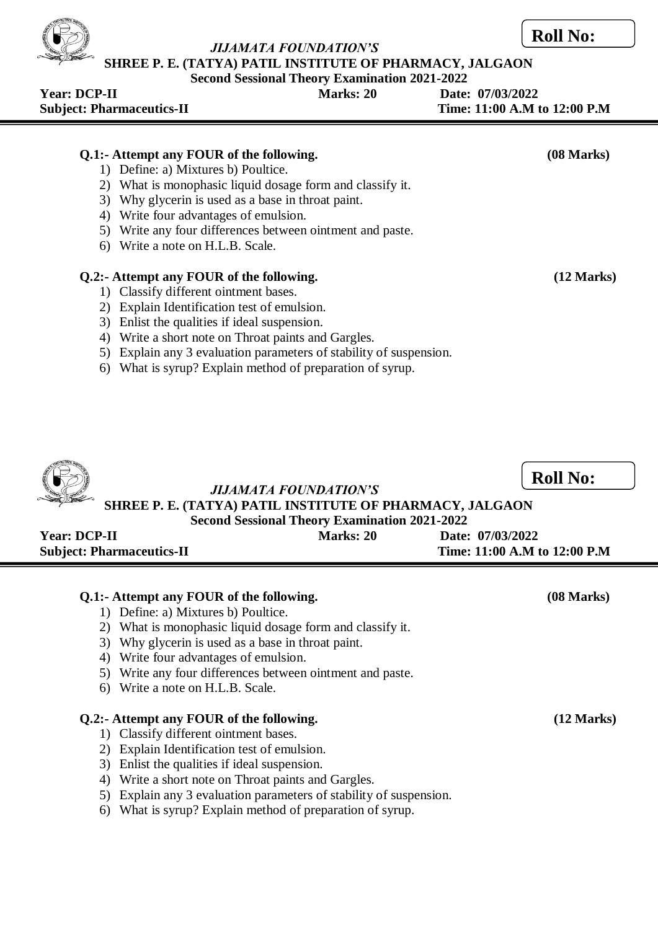**SHREE P. E. (TATYA) PATIL INSTITUTE OF PHARMACY, JALGAON**

# **Second Sessional Theory Examination 2021-2022**

| <b>Year: DCP-II</b><br><b>Subject: Pharmaceutics-II</b> | Marks: 20 | Date: 07/03/2022<br>Time: 11:00 A.M to 12:00 P.M |
|---------------------------------------------------------|-----------|--------------------------------------------------|
|                                                         |           |                                                  |

# **Q.1:- Attempt any FOUR of the following. (08 Marks)**

- 1) Define: a) Mixtures b) Poultice.
- 2) What is monophasic liquid dosage form and classify it.
- 3) Why glycerin is used as a base in throat paint.
- 4) Write four advantages of emulsion.
- 5) Write any four differences between ointment and paste.
- 6) Write a note on H.L.B. Scale.

# **Q.2:- Attempt any FOUR of the following. (12 Marks)**

- 1) Classify different ointment bases.
- 2) Explain Identification test of emulsion.
- 3) Enlist the qualities if ideal suspension.
- 4) Write a short note on Throat paints and Gargles.
- 5) Explain any 3 evaluation parameters of stability of suspension.
- 6) What is syrup? Explain method of preparation of syrup.



- 5) Write any four differences between ointment and paste.
- 6) Write a note on H.L.B. Scale.

### **Q.2:- Attempt any FOUR of the following. (12 Marks)**

- 1) Classify different ointment bases.
- 2) Explain Identification test of emulsion.
- 3) Enlist the qualities if ideal suspension.
- 4) Write a short note on Throat paints and Gargles.
- 5) Explain any 3 evaluation parameters of stability of suspension.
- 6) What is syrup? Explain method of preparation of syrup.



**Roll No:**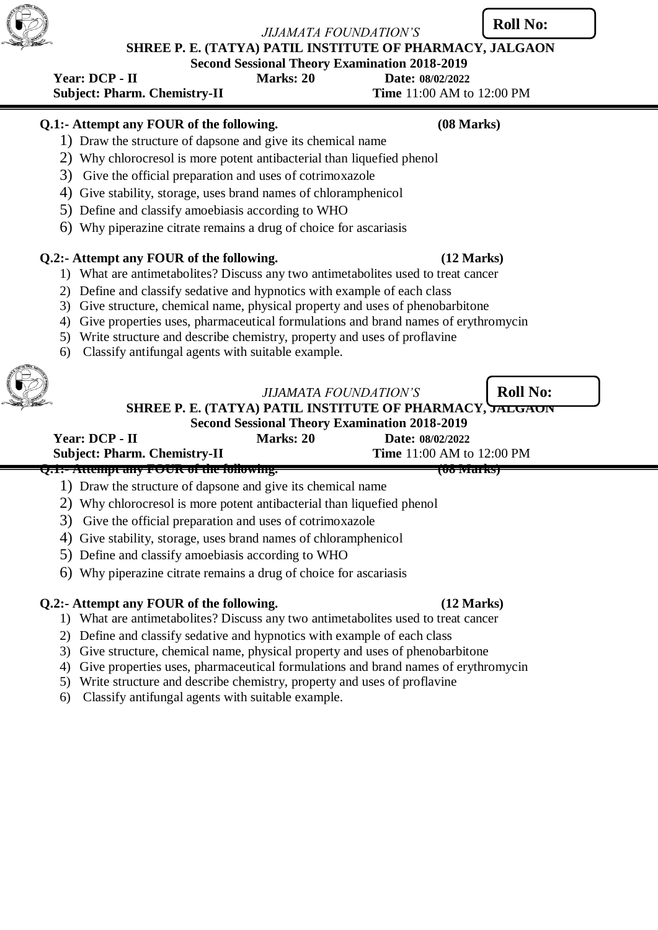**SHREE P. E. (TATYA) PATIL INSTITUTE OF PHARMACY, JALGAON**

**Second Sessional Theory Examination 2018-2019**

 **Year: DCP - II Marks: 20 Date: 08/02/2022 Subject: Pharm. Chemistry-II Time 11:00 AM to 12:00 PM** 

# **Q.1:- Attempt any FOUR of the following. (08 Marks)**

- 1) Draw the structure of dapsone and give its chemical name
- 2) Why chlorocresol is more potent antibacterial than liquefied phenol
- 3) Give the official preparation and uses of cotrimoxazole
- 4) Give stability, storage, uses brand names of chloramphenicol
- 5) Define and classify amoebiasis according to WHO
- 6) Why piperazine citrate remains a drug of choice for ascariasis

# **Q.2:- Attempt any FOUR of the following. (12 Marks)**

- 1) What are antimetabolites? Discuss any two antimetabolites used to treat cancer
- 2) Define and classify sedative and hypnotics with example of each class
- 3) Give structure, chemical name, physical property and uses of phenobarbitone
- 4) Give properties uses, pharmaceutical formulations and brand names of erythromycin
- 5) Write structure and describe chemistry, property and uses of proflavine
- 6) Classify antifungal agents with suitable example.

| <b>JIJAMATA FOUNDATION'S</b>                           | Roll No |
|--------------------------------------------------------|---------|
| IDEE D'E (TATVA) DATII. INCTITUTE AE DILADMA AV $\sim$ |         |

**SHREE P. E. (TATYA) PATIL INSTITUTE OF PHARMACY, JALGAON**

### **Second Sessional Theory Examination 2018-2019 Year: DCP - II Marks: 20 Date: 08/02/2022**

**Subject: Pharm. Chemistry-II Time** 11:00 AM to 12:00 PM

**Q.1:- Attempt any FOUR of the following. (08 Marks)**

- 1) Draw the structure of dapsone and give its chemical name
- 2) Why chlorocresol is more potent antibacterial than liquefied phenol
- 3) Give the official preparation and uses of cotrimoxazole
- 4) Give stability, storage, uses brand names of chloramphenicol
- 5) Define and classify amoebiasis according to WHO
- 6) Why piperazine citrate remains a drug of choice for ascariasis

# **Q.2:- Attempt any FOUR of the following. (12 Marks)**

- 1) What are antimetabolites? Discuss any two antimetabolites used to treat cancer
- 2) Define and classify sedative and hypnotics with example of each class
- 3) Give structure, chemical name, physical property and uses of phenobarbitone
- 4) Give properties uses, pharmaceutical formulations and brand names of erythromycin
- 5) Write structure and describe chemistry, property and uses of proflavine
- 6) Classify antifungal agents with suitable example.

**Roll No:**



**Roll**  $R_{\text{max}}$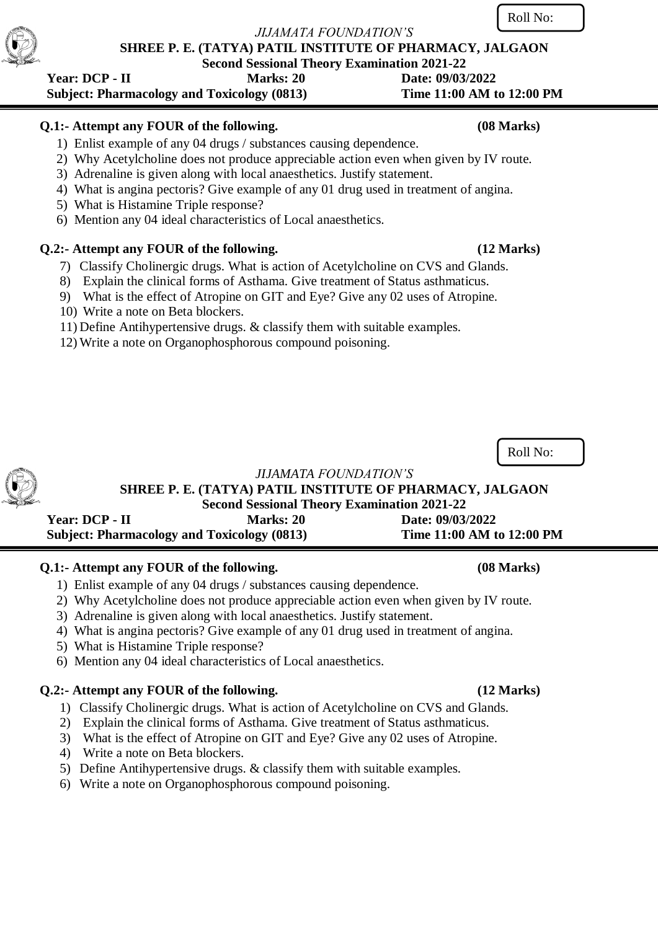**SHREE P. E. (TATYA) PATIL INSTITUTE OF PHARMACY, JALGAON**

**Second Sessional Theory Examination 2021-22** 

# **Year: DCP - II** Marks: 20 Date: 09/03/2022  **Subject: Pharmacology and Toxicology (0813) Time 11:00 AM to 12:00 PM**

# **Q.1:- Attempt any FOUR of the following. (08 Marks)**

- 1) Enlist example of any 04 drugs / substances causing dependence.
- 2) Why Acetylcholine does not produce appreciable action even when given by IV route.
- 3) Adrenaline is given along with local anaesthetics. Justify statement.
- 4) What is angina pectoris? Give example of any 01 drug used in treatment of angina.
- 5) What is Histamine Triple response?
- 6) Mention any 04 ideal characteristics of Local anaesthetics.

# **Q.2:- Attempt any FOUR of the following. (12 Marks)**

- 7) Classify Cholinergic drugs. What is action of Acetylcholine on CVS and Glands.
- 8) Explain the clinical forms of Asthama. Give treatment of Status asthmaticus.
- 9) What is the effect of Atropine on GIT and Eye? Give any 02 uses of Atropine.
- 10) Write a note on Beta blockers.
- 11) Define Antihypertensive drugs. & classify them with suitable examples.
- 12) Write a note on Organophosphorous compound poisoning.

Roll No:

**SHREE P. E. (TATYA) PATIL INSTITUTE OF PHARMACY, JALGAON Second Sessional Theory Examination 2021-22** 

 **Year: DCP - II Marks: 20 Date: 09/03/2022 Subject: Pharmacology and Toxicology (0813) Time 11:00 AM to 12:00 PM**

# **Q.1:- Attempt any FOUR of the following. (08 Marks)**

- 1) Enlist example of any 04 drugs / substances causing dependence.
- 2) Why Acetylcholine does not produce appreciable action even when given by IV route.
- 3) Adrenaline is given along with local anaesthetics. Justify statement.
- 4) What is angina pectoris? Give example of any 01 drug used in treatment of angina.
- 5) What is Histamine Triple response?
- 6) Mention any 04 ideal characteristics of Local anaesthetics.

# **Q.2:- Attempt any FOUR of the following. (12 Marks)**

- 1) Classify Cholinergic drugs. What is action of Acetylcholine on CVS and Glands.
- 2) Explain the clinical forms of Asthama. Give treatment of Status asthmaticus.
- 3) What is the effect of Atropine on GIT and Eye? Give any 02 uses of Atropine.
- 4) Write a note on Beta blockers.
- 5) Define Antihypertensive drugs. & classify them with suitable examples.
- 6) Write a note on Organophosphorous compound poisoning.

# Roll No:

*JIJAMATA FOUNDATION'S*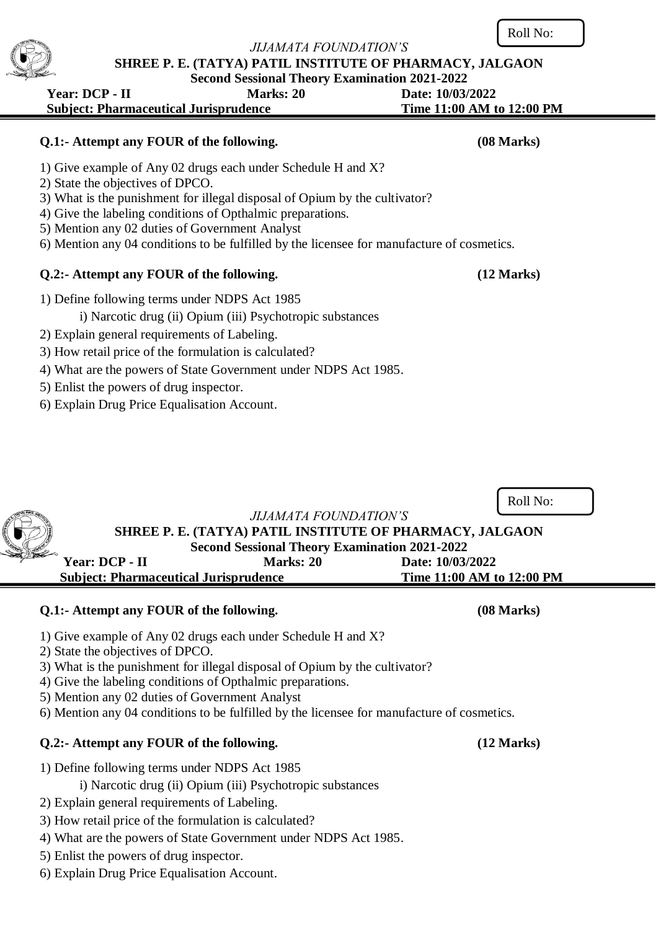## **SHREE P. E. (TATYA) PATIL INSTITUTE OF PHARMACY, JALGAON Second Sessional Theory Examination 2021-2022**

# **Year: DCP - II Marks: 20 Date: 10/03/2022 Subject: Pharmaceutical Jurisprudence Time 11:00 AM to 12:00 PM**

# **Q.1:- Attempt any FOUR of the following. (08 Marks)**

- 1) Give example of Any 02 drugs each under Schedule H and X?
- 2) State the objectives of DPCO.
- 3) What is the punishment for illegal disposal of Opium by the cultivator?
- 4) Give the labeling conditions of Opthalmic preparations.
- 5) Mention any 02 duties of Government Analyst
- 6) Mention any 04 conditions to be fulfilled by the licensee for manufacture of cosmetics.

# **Q.2:- Attempt any FOUR of the following. (12 Marks)**

- 1) Define following terms under NDPS Act 1985
	- i) Narcotic drug (ii) Opium (iii) Psychotropic substances
- 2) Explain general requirements of Labeling.
- 3) How retail price of the formulation is calculated?
- 4) What are the powers of State Government under NDPS Act 1985.
- 5) Enlist the powers of drug inspector.
- 6) Explain Drug Price Equalisation Account.

*JIJAMATA FOUNDATION'S*

# **SHREE P. E. (TATYA) PATIL INSTITUTE OF PHARMACY, JALGAON Second Sessional Theory Examination 2021-2022 Year: DCP - II Marks: 20 Date: 10/03/2022 Subject: Pharmaceutical Jurisprudence Time 11:00 AM to 12:00 PM**

# **Q.1:- Attempt any FOUR of the following. (08 Marks)**

- 1) Give example of Any 02 drugs each under Schedule H and X?
- 2) State the objectives of DPCO.
- 3) What is the punishment for illegal disposal of Opium by the cultivator?
- 4) Give the labeling conditions of Opthalmic preparations.
- 5) Mention any 02 duties of Government Analyst
- 6) Mention any 04 conditions to be fulfilled by the licensee for manufacture of cosmetics.

# **Q.2:- Attempt any FOUR of the following. (12 Marks)**

- 1) Define following terms under NDPS Act 1985
	- i) Narcotic drug (ii) Opium (iii) Psychotropic substances
- 2) Explain general requirements of Labeling.
- 3) How retail price of the formulation is calculated?
- 4) What are the powers of State Government under NDPS Act 1985.
- 5) Enlist the powers of drug inspector.
- 6) Explain Drug Price Equalisation Account.





Roll No: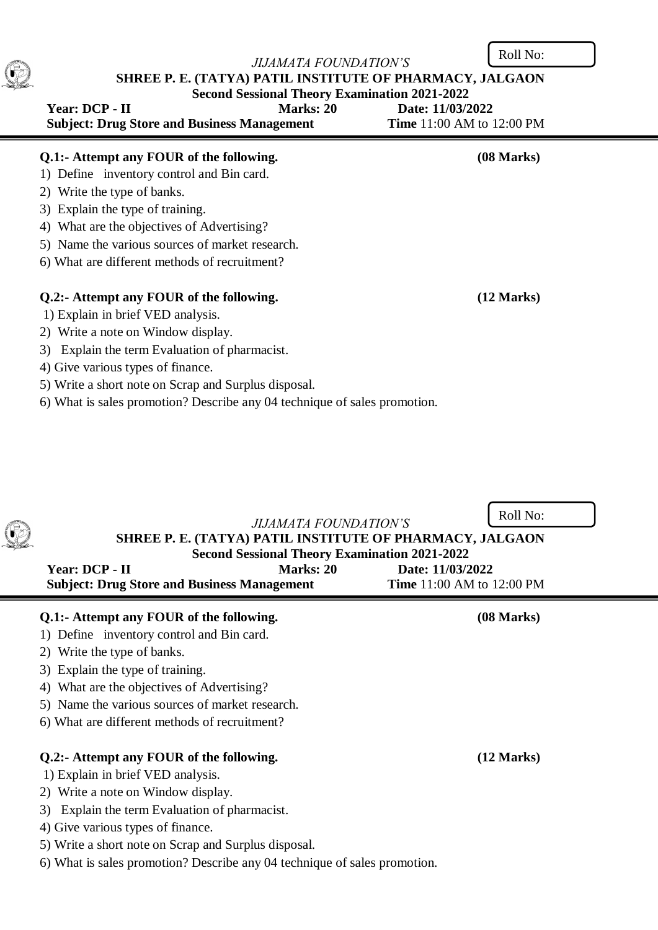Roll No:

|                                                      |                  | SHREE P. E. (TATYA) PATIL INSTITUTE OF PHARMACY, JALGAON |
|------------------------------------------------------|------------------|----------------------------------------------------------|
| <b>Second Sessional Theory Examination 2021-2022</b> |                  |                                                          |
| Year: DCP - II                                       | <b>Marks: 20</b> | Date: 11/03/2022                                         |
|                                                      |                  | .                                                        |

| <b>Subject: Drug Store and Business Management</b> | <b>Time</b> 11:00 AM to 12:00 PM |
|----------------------------------------------------|----------------------------------|
| Q.1:- Attempt any FOUR of the following.           | (08 Marks)                       |
| 1) Define inventory control and Bin card.          |                                  |
| 2) Write the type of banks.                        |                                  |
| 3) Explain the type of training.                   |                                  |
| 4) What are the objectives of Advertising?         |                                  |
| 5) Name the various sources of market research.    |                                  |
| 6) What are different methods of recruitment?      |                                  |
|                                                    |                                  |
| Q.2:- Attempt any FOUR of the following.           | (12 Marks)                       |
| 1) Explain in brief VED analysis.                  |                                  |
| 2) Write a note on Window display.                 |                                  |
| Explain the term Evaluation of pharmacist.<br>3)   |                                  |

5) Write a short note on Scrap and Surplus disposal. 6) What is sales promotion? Describe any 04 technique of sales promotion.

4) Give various types of finance.

G

| <i>JIJAMATA FOUNDATION'S</i><br>SHREE P. E. (TATYA) PATIL INSTITUTE OF PHARMACY, JALGAON<br><b>Second Sessional Theory Examination 2021-2022</b><br>Marks: 20<br>Year: DCP - II<br>Date: 11/03/2022<br><b>Subject: Drug Store and Business Management</b><br><b>Time</b> 11:00 AM to 12:00 PM | Roll No:   |
|-----------------------------------------------------------------------------------------------------------------------------------------------------------------------------------------------------------------------------------------------------------------------------------------------|------------|
| Q.1:- Attempt any FOUR of the following.                                                                                                                                                                                                                                                      | (08 Marks) |
| 1) Define inventory control and Bin card.                                                                                                                                                                                                                                                     |            |
| 2) Write the type of banks.<br>3) Explain the type of training.                                                                                                                                                                                                                               |            |
| 4) What are the objectives of Advertising?                                                                                                                                                                                                                                                    |            |
| 5) Name the various sources of market research.                                                                                                                                                                                                                                               |            |
| 6) What are different methods of recruitment?                                                                                                                                                                                                                                                 |            |
| Q.2:- Attempt any FOUR of the following.<br>1) Explain in brief VED analysis.                                                                                                                                                                                                                 | (12 Marks) |
| 2) Write a note on Window display.                                                                                                                                                                                                                                                            |            |
| Explain the term Evaluation of pharmacist.<br>3)                                                                                                                                                                                                                                              |            |
| 4) Give various types of finance.                                                                                                                                                                                                                                                             |            |
| 5) Write a short note on Scrap and Surplus disposal.                                                                                                                                                                                                                                          |            |
|                                                                                                                                                                                                                                                                                               |            |

6) What is sales promotion? Describe any 04 technique of sales promotion.